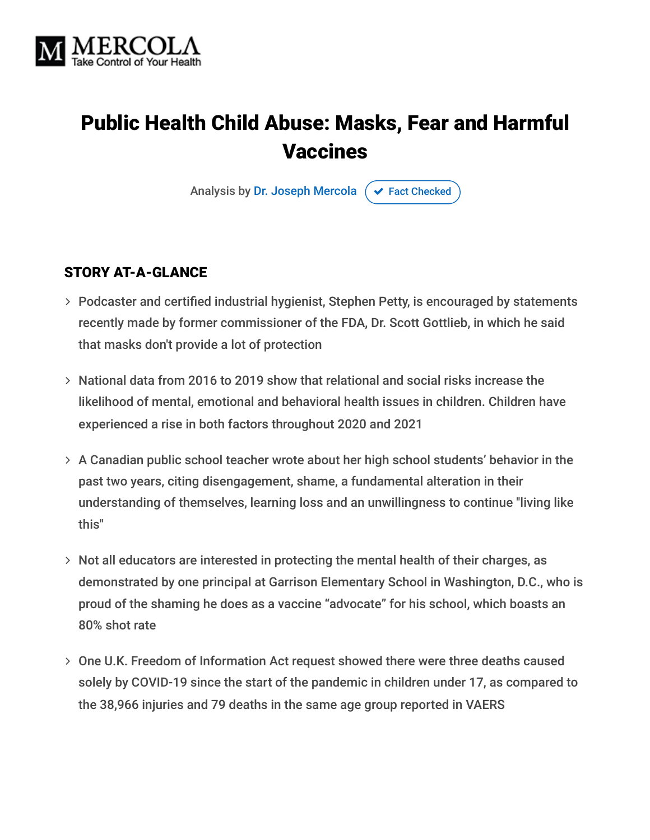

# Public Health Child Abuse: Masks, Fear and Harmful Vaccines

Analysis by [Dr. Joseph Mercola](https://www.mercola.com/forms/background.htm)  $\sigma$  [Fact Checked](javascript:void(0))

#### STORY AT-A-GLANCE

- Podcaster and certified industrial hygienist, Stephen Petty, is encouraged by statements recently made by former commissioner of the FDA, Dr. Scott Gottlieb, in which he said that masks don't provide a lot of protection
- $>$  National data from 2016 to 2019 show that relational and social risks increase the likelihood of mental, emotional and behavioral health issues in children. Children have experienced a rise in both factors throughout 2020 and 2021
- A Canadian public school teacher wrote about her high school students' behavior in the past two years, citing disengagement, shame, a fundamental alteration in their understanding of themselves, learning loss and an unwillingness to continue "living like this"
- $>$  Not all educators are interested in protecting the mental health of their charges, as demonstrated by one principal at Garrison Elementary School in Washington, D.C., who is proud of the shaming he does as a vaccine "advocate" for his school, which boasts an 80% shot rate
- One U.K. Freedom of Information Act request showed there were three deaths caused solely by COVID-19 since the start of the pandemic in children under 17, as compared to the 38,966 injuries and 79 deaths in the same age group reported in VAERS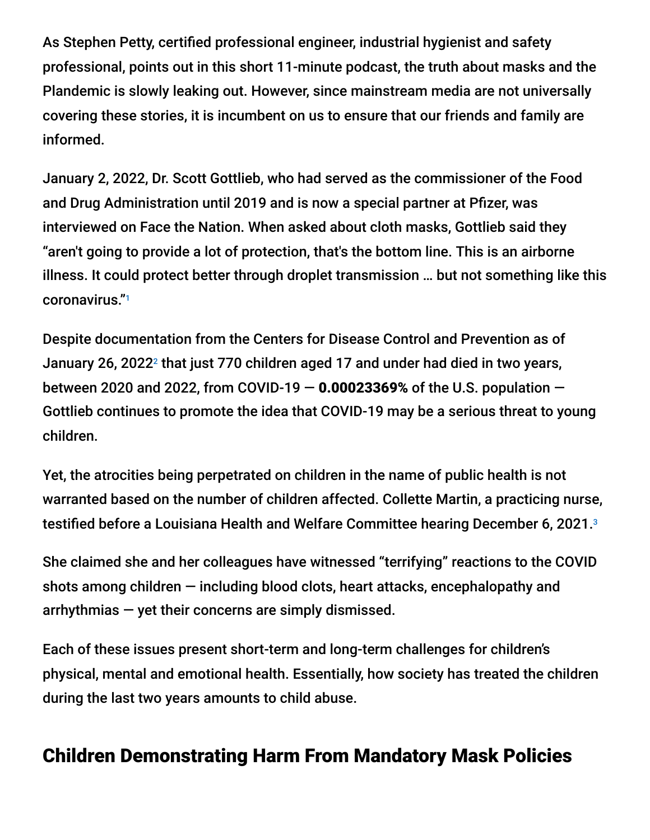As Stephen Petty, certified professional engineer, industrial hygienist and safety professional, points out in this short 11-minute podcast, the truth about masks and the Plandemic is slowly leaking out. However, since mainstream media are not universally covering these stories, it is incumbent on us to ensure that our friends and family are informed.

January 2, 2022, Dr. Scott Gottlieb, who had served as the commissioner of the Food and Drug Administration until 2019 and is now a special partner at Pfizer, was interviewed on Face the Nation. When asked about cloth masks, Gottlieb said they "aren't going to provide a lot of protection, that's the bottom line. This is an airborne illness. It could protect better through droplet transmission … but not something like this coronavirus." 1

Despite documentation from the Centers for Disease Control and Prevention as of January 26, 2022<sup>2</sup> that just 770 children aged 17 and under had died in two years, between 2020 and 2022, from COVID-19  $-$  0.00023369% of the U.S. population  $-$ Gottlieb continues to promote the idea that COVID-19 may be a serious threat to young children.

Yet, the atrocities being perpetrated on children in the name of public health is not warranted based on the number of children affected. Collette Martin, a practicing nurse, testified before a Louisiana Health and Welfare Committee hearing December 6, 2021. 3

She claimed she and her colleagues have witnessed "terrifying" reactions to the COVID shots among children — including blood clots, heart attacks, encephalopathy and arrhythmias — yet their concerns are simply dismissed.

Each of these issues present short-term and long-term challenges for children's physical, mental and emotional health. Essentially, how society has treated the children during the last two years amounts to child abuse.

# Children Demonstrating Harm From Mandatory Mask Policies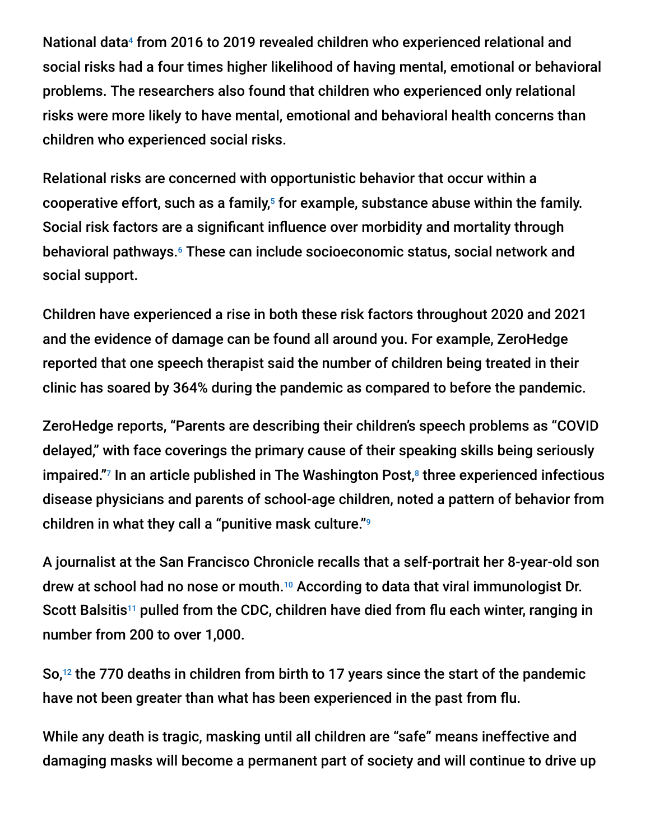National data<sup>4</sup> from 2016 to 2019 revealed children who experienced relational and social risks had a four times higher likelihood of having mental, emotional or behavioral problems. The researchers also found that children who experienced only relational risks were more likely to have mental, emotional and behavioral health concerns than children who experienced social risks.

Relational risks are concerned with opportunistic behavior that occur within a cooperative effort, such as a family,<sup>5</sup> for example, substance abuse within the family. Social risk factors are a significant influence over morbidity and mortality through behavioral pathways.<sup>6</sup> These can include socioeconomic status, social network and social support.

Children have experienced a rise in both these risk factors throughout 2020 and 2021 and the evidence of damage can be found all around you. For example, ZeroHedge reported that one speech therapist said the number of children being treated in their clinic has soared by 364% during the pandemic as compared to before the pandemic.

ZeroHedge reports, "Parents are describing their children's speech problems as "COVID delayed," with face coverings the primary cause of their speaking skills being seriously impaired."<sup>7</sup> In an article published in The Washington Post, $^8$  three experienced infectious disease physicians and parents of school-age children, noted a pattern of behavior from children in what they call a "punitive mask culture." 9

A journalist at the San Francisco Chronicle recalls that a self-portrait her 8-year-old son drew at school had no nose or mouth.<sup>10</sup> According to data that viral immunologist Dr. Scott Balsitis<sup>11</sup> pulled from the CDC, children have died from flu each winter, ranging in number from 200 to over 1,000.

So, $12$  the 770 deaths in children from birth to 17 years since the start of the pandemic have not been greater than what has been experienced in the past from flu.

While any death is tragic, masking until all children are "safe" means ineffective and damaging masks will become a permanent part of society and will continue to drive up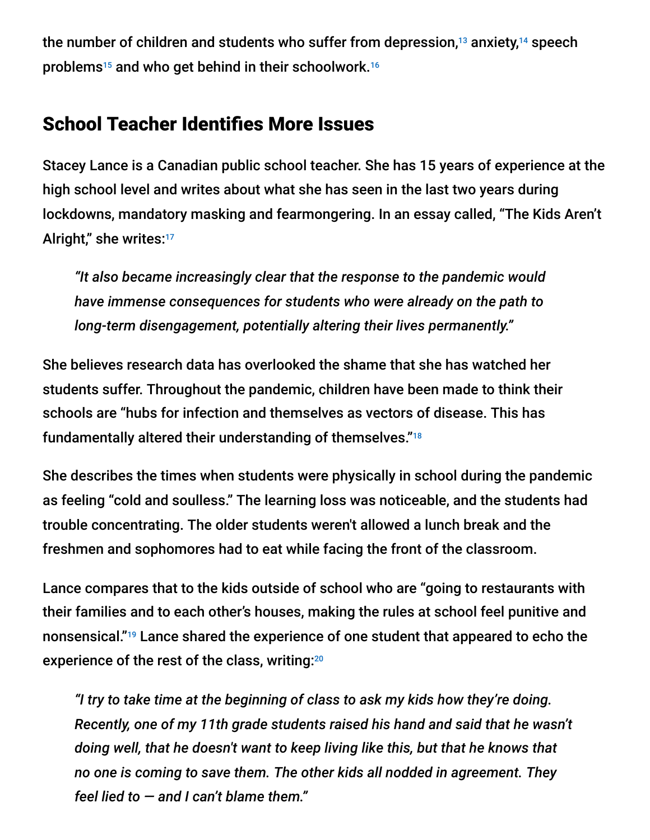the number of children and students who suffer from depression, $^{13}$  anxiety, $^{14}$  speech problems<sup>15</sup> and who get behind in their schoolwork.<sup>16</sup>

# School Teacher Identifies More Issues

Stacey Lance is a Canadian public school teacher. She has 15 years of experience at the high school level and writes about what she has seen in the last two years during lockdowns, mandatory masking and fearmongering. In an essay called, "The Kids Aren't Alright," she writes:<sup>17</sup>

*"It also became increasingly clear that the response to the pandemic would have immense consequences for students who were already on the path to long-term disengagement, potentially altering their lives permanently."*

She believes research data has overlooked the shame that she has watched her students suffer. Throughout the pandemic, children have been made to think their schools are "hubs for infection and themselves as vectors of disease. This has fundamentally altered their understanding of themselves." 18

She describes the times when students were physically in school during the pandemic as feeling "cold and soulless." The learning loss was noticeable, and the students had trouble concentrating. The older students weren't allowed a lunch break and the freshmen and sophomores had to eat while facing the front of the classroom.

Lance compares that to the kids outside of school who are "going to restaurants with their families and to each other's houses, making the rules at school feel punitive and nonsensical."<sup>19</sup> Lance shared the experience of one student that appeared to echo the experience of the rest of the class, writing: 20

*"I try to take time at the beginning of class to ask my kids how they're doing. Recently, one of my 11th grade students raised his hand and said that he wasn't doing well, that he doesn't want to keep living like this, but that he knows that no one is coming to save them. The other kids all nodded in agreement. They feel lied to — and I can't blame them."*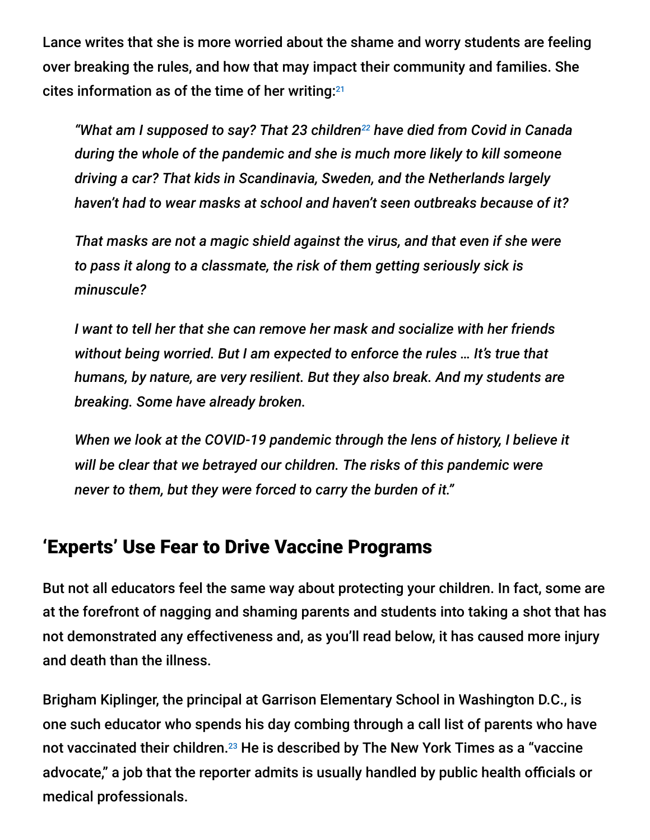Lance writes that she is more worried about the shame and worry students are feeling over breaking the rules, and how that may impact their community and families. She cites information as of the time of her writing: 21

*"What am I supposed to say? That 23 children<sup>22</sup> have died from Covid in Canada during the whole of the pandemic and she is much more likely to kill someone driving a car? That kids in Scandinavia, Sweden, and the Netherlands largely haven't had to wear masks at school and haven't seen outbreaks because of it?*

*That masks are not a magic shield against the virus, and that even if she were to pass it along to a classmate, the risk of them getting seriously sick is minuscule?*

*I want to tell her that she can remove her mask and socialize with her friends without being worried. But I am expected to enforce the rules … It's true that humans, by nature, are very resilient. But they also break. And my students are breaking. Some have already broken.*

*When we look at the COVID-19 pandemic through the lens of history, I believe it will be clear that we betrayed our children. The risks of this pandemic were never to them, but they were forced to carry the burden of it."*

### 'Experts' Use Fear to Drive Vaccine Programs

But not all educators feel the same way about protecting your children. In fact, some are at the forefront of nagging and shaming parents and students into taking a shot that has not demonstrated any effectiveness and, as you'll read below, it has caused more injury and death than the illness.

Brigham Kiplinger, the principal at Garrison Elementary School in Washington D.C., is one such educator who spends his day combing through a call list of parents who have not vaccinated their children. $^{23}$  He is described by The New York Times as a "vaccine advocate," a job that the reporter admits is usually handled by public health officials or medical professionals.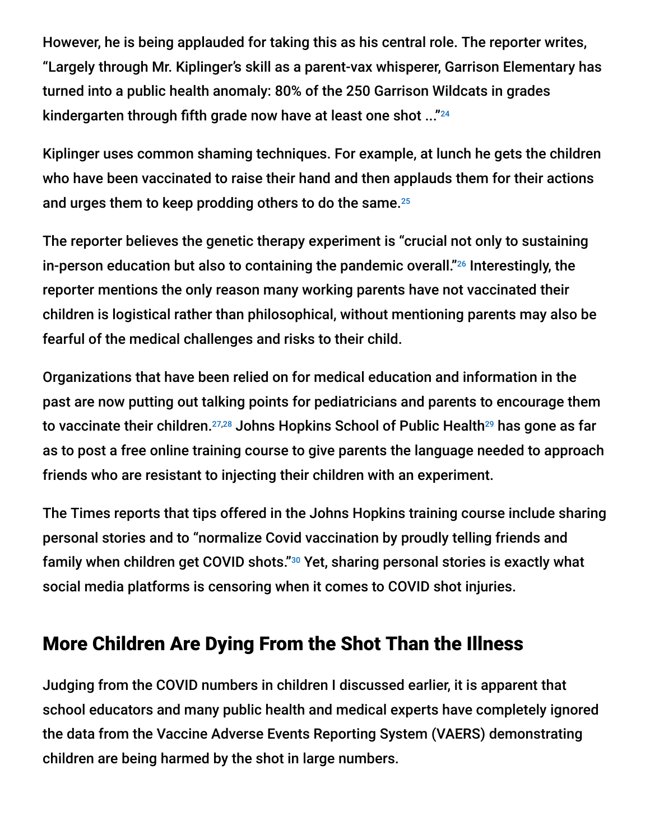However, he is being applauded for taking this as his central role. The reporter writes, "Largely through Mr. Kiplinger's skill as a parent-vax whisperer, Garrison Elementary has turned into a public health anomaly: 80% of the 250 Garrison Wildcats in grades kindergarten through fifth grade now have at least one shot ..." 24

Kiplinger uses common shaming techniques. For example, at lunch he gets the children who have been vaccinated to raise their hand and then applauds them for their actions and urges them to keep prodding others to do the same. 25

The reporter believes the genetic therapy experiment is "crucial not only to sustaining in-person education but also to containing the pandemic overall." $26$  Interestingly, the reporter mentions the only reason many working parents have not vaccinated their children is logistical rather than philosophical, without mentioning parents may also be fearful of the medical challenges and risks to their child.

Organizations that have been relied on for medical education and information in the past are now putting out talking points for pediatricians and parents to encourage them to vaccinate their children.<sup>27,28</sup> Johns Hopkins School of Public Health<sup>29</sup> has gone as far as to post a free online training course to give parents the language needed to approach friends who are resistant to injecting their children with an experiment.

The Times reports that tips offered in the Johns Hopkins training course include sharing personal stories and to "normalize Covid vaccination by proudly telling friends and family when children get COVID shots."<sup>30</sup> Yet, sharing personal stories is exactly what social media platforms is censoring when it comes to COVID shot injuries.

# More Children Are Dying From the Shot Than the Illness

Judging from the COVID numbers in children I discussed earlier, it is apparent that school educators and many public health and medical experts have completely ignored the data from the Vaccine Adverse Events Reporting System (VAERS) demonstrating children are being harmed by the shot in large numbers.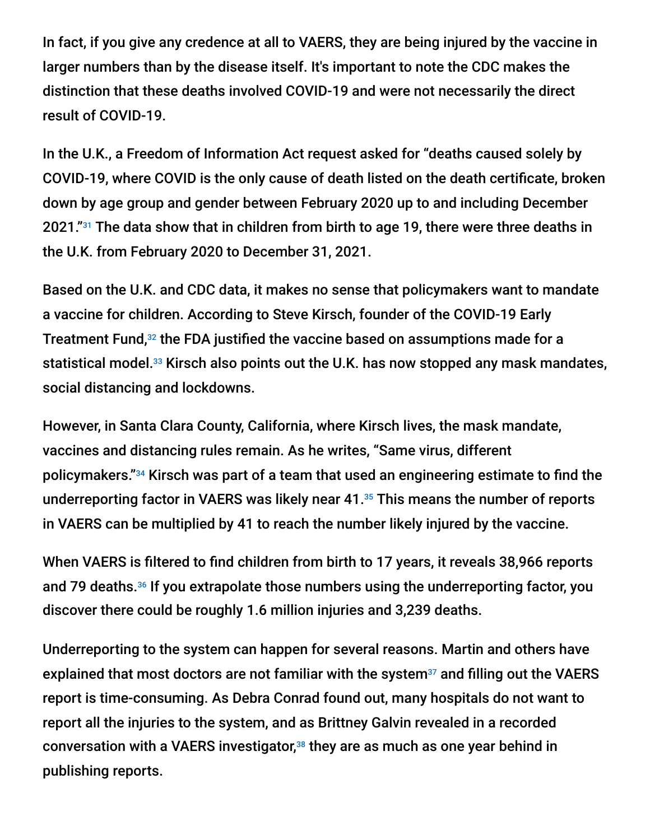In fact, if you give any credence at all to VAERS, they are being injured by the vaccine in larger numbers than by the disease itself. It's important to note the CDC makes the distinction that these deaths involved COVID-19 and were not necessarily the direct result of COVID-19.

In the U.K., a Freedom of Information Act request asked for "deaths caused solely by COVID-19, where COVID is the only cause of death listed on the death certificate, broken down by age group and gender between February 2020 up to and including December 2021." $^{31}$  The data show that in children from birth to age 19, there were three deaths in the U.K. from February 2020 to December 31, 2021.

Based on the U.K. and CDC data, it makes no sense that policymakers want to mandate a vaccine for children. According to Steve Kirsch, founder of the COVID-19 Early Treatment Fund, $32$  the FDA justified the vaccine based on assumptions made for a statistical model.<sup>33</sup> Kirsch also points out the U.K. has now stopped any mask mandates, social distancing and lockdowns.

However, in Santa Clara County, California, where Kirsch lives, the mask mandate, vaccines and distancing rules remain. As he writes, "Same virus, different policymakers."<sup>34</sup> Kirsch was part of a team that used an engineering estimate to find the underreporting factor in VAERS was likely near  $41.^{35}$  This means the number of reports in VAERS can be multiplied by 41 to reach the number likely injured by the vaccine.

When VAERS is filtered to find children from birth to 17 years, it reveals 38,966 reports and 79 deaths.<sup>36</sup> If you extrapolate those numbers using the underreporting factor, you discover there could be roughly 1.6 million injuries and 3,239 deaths.

Underreporting to the system can happen for several reasons. Martin and others have explained that most doctors are not familiar with the system $37$  and filling out the VAERS report is time-consuming. As Debra Conrad found out, many hospitals do not want to report all the injuries to the system, and as Brittney Galvin revealed in a recorded conversation with a VAERS investigator, $38$  they are as much as one year behind in publishing reports.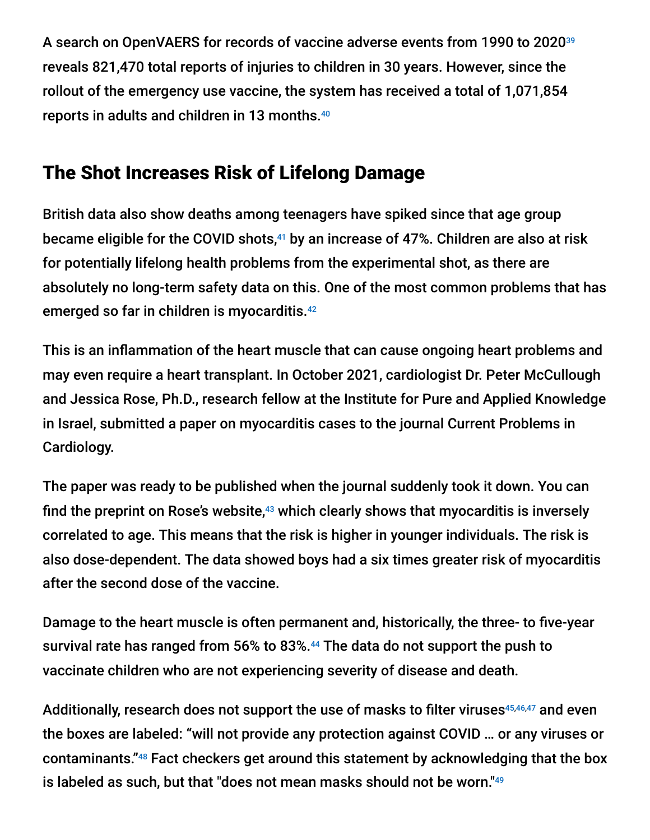A search on OpenVAERS for records of vaccine adverse events from 1990 to 2020 39 reveals 821,470 total reports of injuries to children in 30 years. However, since the rollout of the emergency use vaccine, the system has received a total of 1,071,854 reports in adults and children in 13 months. 40

# The Shot Increases Risk of Lifelong Damage

British data also show deaths among teenagers have spiked since that age group became eligible for the COVID shots, $^{41}$  by an increase of 47%. Children are also at risk for potentially lifelong health problems from the experimental shot, as there are absolutely no long-term safety data on this. One of the most common problems that has emerged so far in children is myocarditis. 42

This is an inflammation of the heart muscle that can cause ongoing heart problems and may even require a heart transplant. In October 2021, cardiologist Dr. Peter McCullough and Jessica Rose, Ph.D., research fellow at the Institute for Pure and Applied Knowledge in Israel, submitted a paper on myocarditis cases to the journal Current Problems in Cardiology.

The paper was ready to be published when the journal suddenly took it down. You can find the preprint on Rose's website, $43$  which clearly shows that myocarditis is inversely correlated to age. This means that the risk is higher in younger individuals. The risk is also dose-dependent. The data showed boys had a six times greater risk of myocarditis after the second dose of the vaccine.

Damage to the heart muscle is often permanent and, historically, the three- to five-year survival rate has ranged from 56% to 83%.<sup>44</sup> The data do not support the push to vaccinate children who are not experiencing severity of disease and death.

Additionally, research does not support the use of masks to filter viruses<sup>45,46,47</sup> and even the boxes are labeled: "will not provide any protection against COVID … or any viruses or contaminants."<sup>48</sup> Fact checkers get around this statement by acknowledging that the box is labeled as such, but that "does not mean masks should not be worn." 49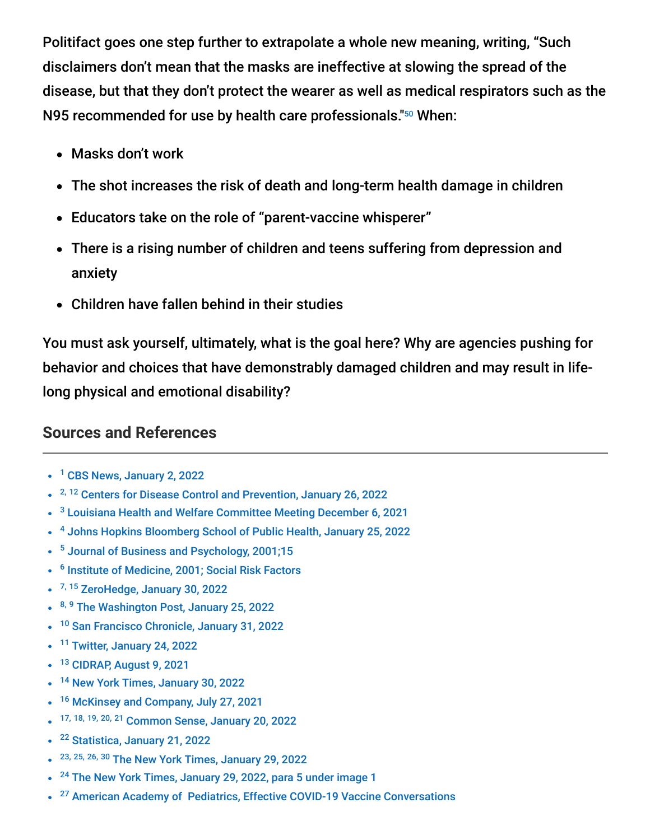Politifact goes one step further to extrapolate a whole new meaning, writing, "Such disclaimers don't mean that the masks are ineffective at slowing the spread of the disease, but that they don't protect the wearer as well as medical respirators such as the N95 recommended for use by health care professionals."<sup>50</sup> When:

- Masks don't work
- The shot increases the risk of death and long-term health damage in children
- Educators take on the role of "parent-vaccine whisperer"
- There is a rising number of children and teens suffering from depression and anxiety
- Children have fallen behind in their studies

You must ask yourself, ultimately, what is the goal here? Why are agencies pushing for behavior and choices that have demonstrably damaged children and may result in lifelong physical and emotional disability?

#### **Sources and References**

- <sup>1</sup> [CBS News, January 2, 2022](https://www.cbsnews.com/news/full-transcript-dr-scott-gottlieb-face-the-nation-january-2-2022/)
- <sup>2, 12</sup> [Centers for Disease Control and Prevention, January 26, 2022](https://www.cdc.gov/nchs/nvss/vsrr/covid_weekly/index.htm)
- <sup>3</sup> [Louisiana Health and Welfare Committee Meeting December 6, 2021](https://www.house.louisiana.gov/H_Video/VideoArchivePlayer?v=house/2021/dec/1206_21_HW)
- <sup>4</sup> [Johns Hopkins Bloomberg School of Public Health, January 25, 2022](https://publichealth.jhu.edu/2022/study-reveals-fourfold-range-in-rates-of-mental-health-problems-among-us-children-based-on-relational-and-social-risks)
- <sup>5</sup> [Journal of Business and Psychology, 2001;15](https://link.springer.com/article/10.1023/A:1007874701367)
- <sup>6</sup> [Institute of Medicine, 2001; Social Risk Factors](https://www.ncbi.nlm.nih.gov/books/NBK43750/)
- <sup>7, 15</sup> [ZeroHedge, January 30, 2022](https://www.zerohedge.com/political/speech-therapist-364-surge-baby-and-toddler-referrals-thanks-mask-wearing)
- 8, 9 [The Washington Post, January 25, 2022](https://www.washingtonpost.com/opinions/2022/01/25/schools-safely-make-masks-optional-new-cdc-guidelines/)
- <sup>10</sup> [San Francisco Chronicle, January 31, 2022](https://www.sfchronicle.com/opinion/openforum/article/Should-kids-wear-masks-in-schools-Maybe-not-16811908.php)  $\bullet$
- <sup>11</sup> [Twitter, January 24, 2022](https://twitter.com/DrScottBalsitis/status/1485806628867743747)
- <sup>13</sup> [CIDRAP, August 9, 2021](https://www.cidrap.umn.edu/news-perspective/2021/08/depression-and-anxiety-doubled-children-pandemic-study-says)
- <sup>14</sup> [New York Times, January 30, 2022](https://www.nytimes.com/2022/01/30/us/students-pandemic-virtual-learning.html)  $\bullet$
- <sup>16</sup> [McKinsey and Company, July 27, 2021](https://www.mckinsey.com/industries/education/our-insights/covid-19-and-education-the-lingering-effects-of-unfinished-learning)  $\bullet$
- 17, 18, 19, 20, 21 [Common Sense, January 20, 2022](https://bariweiss.substack.com/p/im-a-public-school-teacher-the-kids)  $\bullet$
- <sup>22</sup> [Statistica, January 21, 2022](https://www.statista.com/statistics/1228632/number-covid-deaths-canada-by-age/)  $\bullet$
- <sup>23, 25, 26, 30</sup> [The New York Times, January 29, 2022](https://www.nytimes.com/2022/01/29/health/covid-vaccine-children.html)
- <sup>24</sup> [The New York Times, January 29, 2022, para 5 under image 1](https://www.nytimes.com/2022/01/29/health/covid-vaccine-children.html)  $\bullet$
- <sup>27</sup> American Academy of Pediatrics, Effective COVID-19 Vaccine Conversations